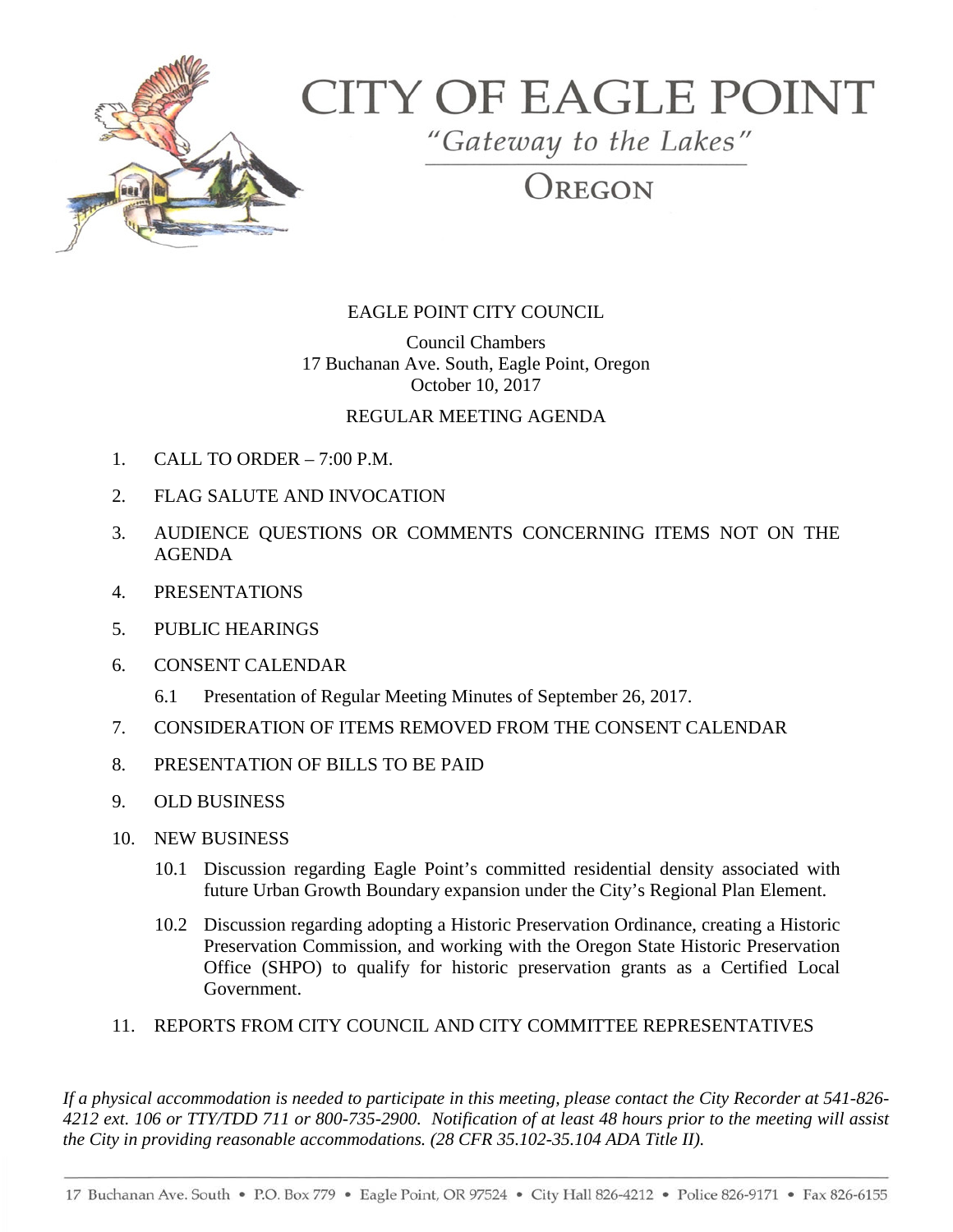

# **CITY OF EAGLE POINT**

"Gateway to the Lakes"

REGON

## EAGLE POINT CITY COUNCIL

Council Chambers 17 Buchanan Ave. South, Eagle Point, Oregon October 10, 2017

## REGULAR MEETING AGENDA

- 1. CALL TO ORDER 7:00 P.M.
- 2. FLAG SALUTE AND INVOCATION
- 3. AUDIENCE QUESTIONS OR COMMENTS CONCERNING ITEMS NOT ON THE AGENDA
- 4. PRESENTATIONS
- 5. PUBLIC HEARINGS
- 6. CONSENT CALENDAR
	- 6.1 Presentation of Regular Meeting Minutes of September 26, 2017.
- 7. CONSIDERATION OF ITEMS REMOVED FROM THE CONSENT CALENDAR
- 8. PRESENTATION OF BILLS TO BE PAID
- 9. OLD BUSINESS
- 10. NEW BUSINESS
	- 10.1 Discussion regarding Eagle Point's committed residential density associated with future Urban Growth Boundary expansion under the City's Regional Plan Element.
	- 10.2 Discussion regarding adopting a Historic Preservation Ordinance, creating a Historic Preservation Commission, and working with the Oregon State Historic Preservation Office (SHPO) to qualify for historic preservation grants as a Certified Local Government.

#### 11. REPORTS FROM CITY COUNCIL AND CITY COMMITTEE REPRESENTATIVES

*If a physical accommodation is needed to participate in this meeting, please contact the City Recorder at 541-826- 4212 ext. 106 or TTY/TDD 711 or 800-735-2900. Notification of at least 48 hours prior to the meeting will assist the City in providing reasonable accommodations. (28 CFR 35.102-35.104 ADA Title II).*